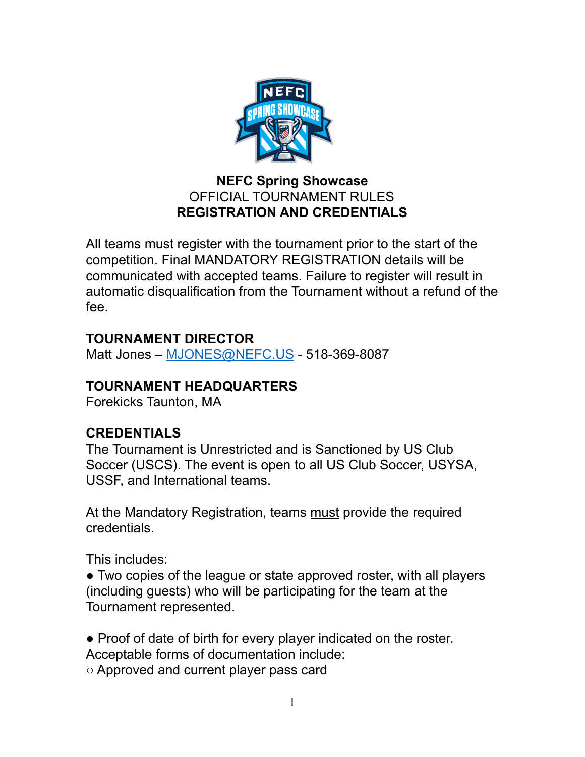

### **NEFC Spring Showcase** OFFICIAL TOURNAMENT RULES **REGISTRATION AND CREDENTIALS**

All teams must register with the tournament prior to the start of the competition. Final MANDATORY REGISTRATION details will be communicated with accepted teams. Failure to register will result in automatic disqualification from the Tournament without a refund of the fee.

# **TOURNAMENT DIRECTOR**

Matt Jones – [MJONES@NEFC.US](mailto:MJONES@NEFC.US) - 518-369-8087

## **TOURNAMENT HEADQUARTERS**

Forekicks Taunton, MA

## **CREDENTIALS**

The Tournament is Unrestricted and is Sanctioned by US Club Soccer (USCS). The event is open to all US Club Soccer, USYSA, USSF, and International teams.

At the Mandatory Registration, teams must provide the required credentials.

This includes:

• Two copies of the league or state approved roster, with all players (including guests) who will be participating for the team at the Tournament represented.

● Proof of date of birth for every player indicated on the roster.

Acceptable forms of documentation include:

○ Approved and current player pass card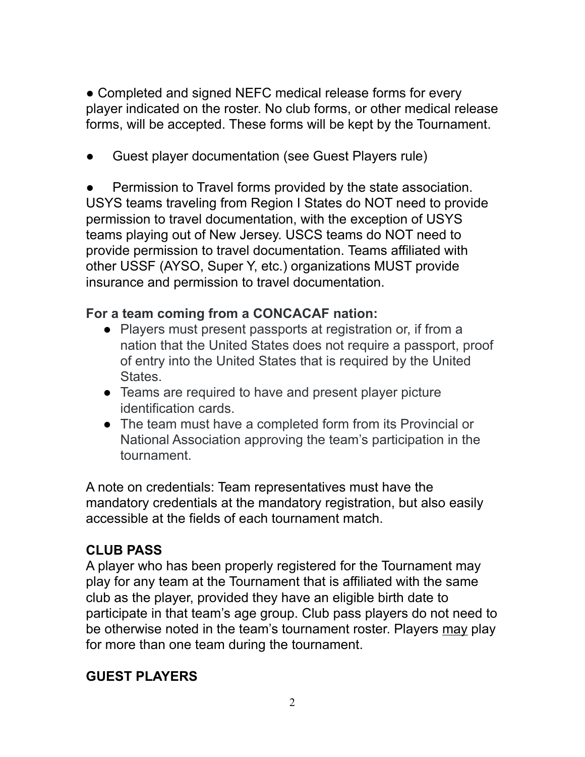• Completed and signed NEFC medical release forms for every player indicated on the roster. No club forms, or other medical release forms, will be accepted. These forms will be kept by the Tournament.

Guest player documentation (see Guest Players rule)

Permission to Travel forms provided by the state association. USYS teams traveling from Region I States do NOT need to provide permission to travel documentation, with the exception of USYS teams playing out of New Jersey. USCS teams do NOT need to provide permission to travel documentation. Teams affiliated with other USSF (AYSO, Super Y, etc.) organizations MUST provide insurance and permission to travel documentation.

## **For a team coming from a CONCACAF nation:**

- Players must present passports at registration or, if from a nation that the United States does not require a passport, proof of entry into the United States that is required by the United States.
- Teams are required to have and present player picture identification cards.
- The team must have a completed form from its Provincial or National Association approving the team's participation in the tournament.

A note on credentials: Team representatives must have the mandatory credentials at the mandatory registration, but also easily accessible at the fields of each tournament match.

# **CLUB PASS**

A player who has been properly registered for the Tournament may play for any team at the Tournament that is affiliated with the same club as the player, provided they have an eligible birth date to participate in that team's age group. Club pass players do not need to be otherwise noted in the team's tournament roster. Players may play for more than one team during the tournament.

## **GUEST PLAYERS**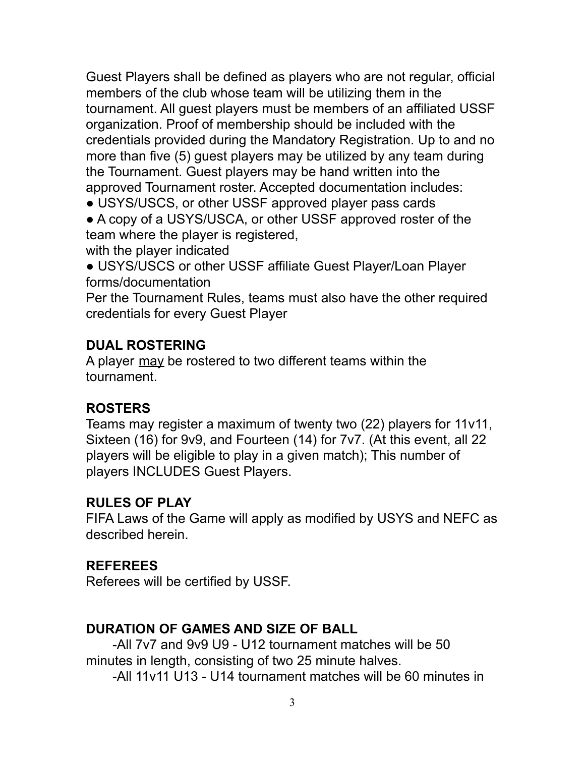Guest Players shall be defined as players who are not regular, official members of the club whose team will be utilizing them in the tournament. All guest players must be members of an affiliated USSF organization. Proof of membership should be included with the credentials provided during the Mandatory Registration. Up to and no more than five (5) guest players may be utilized by any team during the Tournament. Guest players may be hand written into the approved Tournament roster. Accepted documentation includes:

• USYS/USCS, or other USSF approved player pass cards

• A copy of a USYS/USCA, or other USSF approved roster of the team where the player is registered,

with the player indicated

● USYS/USCS or other USSF affiliate Guest Player/Loan Player forms/documentation

Per the Tournament Rules, teams must also have the other required credentials for every Guest Player

### **DUAL ROSTERING**

A player may be rostered to two different teams within the tournament.

### **ROSTERS**

Teams may register a maximum of twenty two (22) players for 11v11, Sixteen (16) for 9v9, and Fourteen (14) for 7v7. (At this event, all 22 players will be eligible to play in a given match); This number of players INCLUDES Guest Players.

### **RULES OF PLAY**

FIFA Laws of the Game will apply as modified by USYS and NEFC as described herein.

### **REFEREES**

Referees will be certified by USSF.

### **DURATION OF GAMES AND SIZE OF BALL**

-All 7v7 and 9v9 U9 - U12 tournament matches will be 50 minutes in length, consisting of two 25 minute halves.

-All 11v11 U13 - U14 tournament matches will be 60 minutes in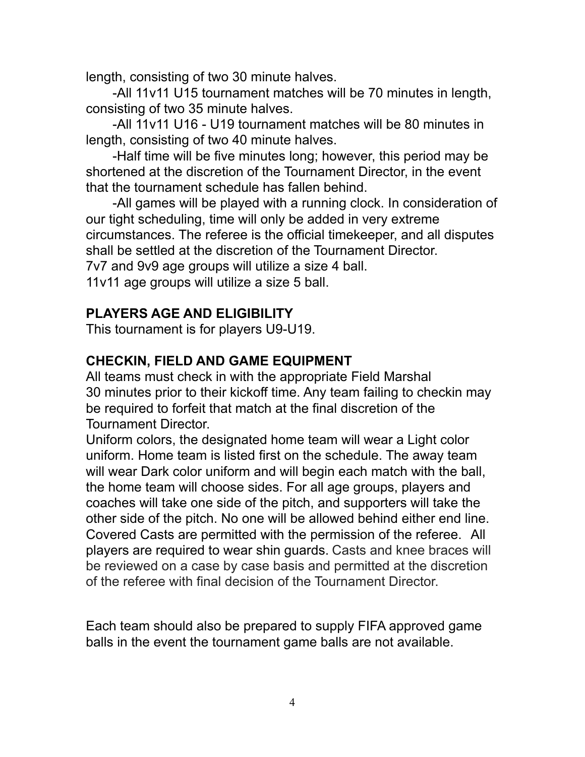length, consisting of two 30 minute halves.

-All 11v11 U15 tournament matches will be 70 minutes in length, consisting of two 35 minute halves.

-All 11v11 U16 - U19 tournament matches will be 80 minutes in length, consisting of two 40 minute halves.

-Half time will be five minutes long; however, this period may be shortened at the discretion of the Tournament Director, in the event that the tournament schedule has fallen behind.

-All games will be played with a running clock. In consideration of our tight scheduling, time will only be added in very extreme circumstances. The referee is the official timekeeper, and all disputes shall be settled at the discretion of the Tournament Director. 7v7 and 9v9 age groups will utilize a size 4 ball.

11v11 age groups will utilize a size 5 ball.

### **PLAYERS AGE AND ELIGIBILITY**

This tournament is for players U9-U19.

### **CHECKIN, FIELD AND GAME EQUIPMENT**

All teams must check in with the appropriate Field Marshal 30 minutes prior to their kickoff time. Any team failing to checkin may be required to forfeit that match at the final discretion of the Tournament Director.

Uniform colors, the designated home team will wear a Light color uniform. Home team is listed first on the schedule. The away team will wear Dark color uniform and will begin each match with the ball, the home team will choose sides. For all age groups, players and coaches will take one side of the pitch, and supporters will take the other side of the pitch. No one will be allowed behind either end line. Covered Casts are permitted with the permission of the referee. All players are required to wear shin guards. Casts and knee braces will be reviewed on a case by case basis and permitted at the discretion of the referee with final decision of the Tournament Director.

Each team should also be prepared to supply FIFA approved game balls in the event the tournament game balls are not available.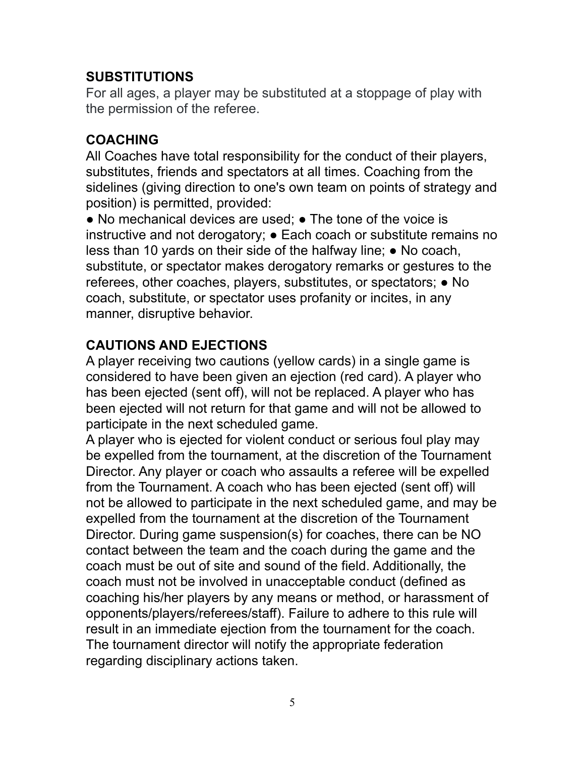### **SUBSTITUTIONS**

For all ages, a player may be substituted at a stoppage of play with the permission of the referee.

## **COACHING**

All Coaches have total responsibility for the conduct of their players, substitutes, friends and spectators at all times. Coaching from the sidelines (giving direction to one's own team on points of strategy and position) is permitted, provided:

 $\bullet$  No mechanical devices are used;  $\bullet$  The tone of the voice is instructive and not derogatory; ● Each coach or substitute remains no less than 10 yards on their side of the halfway line; ● No coach, substitute, or spectator makes derogatory remarks or gestures to the referees, other coaches, players, substitutes, or spectators; ● No coach, substitute, or spectator uses profanity or incites, in any manner, disruptive behavior.

# **CAUTIONS AND EJECTIONS**

A player receiving two cautions (yellow cards) in a single game is considered to have been given an ejection (red card). A player who has been ejected (sent off), will not be replaced. A player who has been ejected will not return for that game and will not be allowed to participate in the next scheduled game.

A player who is ejected for violent conduct or serious foul play may be expelled from the tournament, at the discretion of the Tournament Director. Any player or coach who assaults a referee will be expelled from the Tournament. A coach who has been ejected (sent off) will not be allowed to participate in the next scheduled game, and may be expelled from the tournament at the discretion of the Tournament Director. During game suspension(s) for coaches, there can be NO contact between the team and the coach during the game and the coach must be out of site and sound of the field. Additionally, the coach must not be involved in unacceptable conduct (defined as coaching his/her players by any means or method, or harassment of opponents/players/referees/staff). Failure to adhere to this rule will result in an immediate ejection from the tournament for the coach. The tournament director will notify the appropriate federation regarding disciplinary actions taken.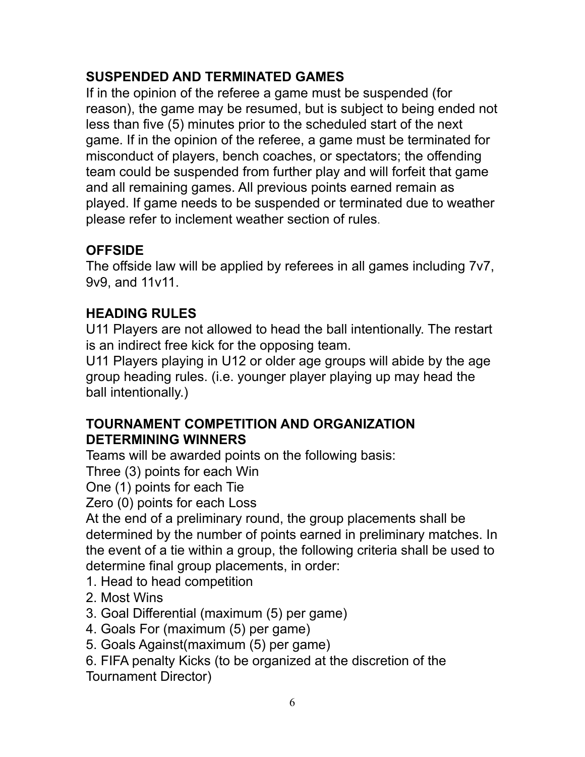# **SUSPENDED AND TERMINATED GAMES**

If in the opinion of the referee a game must be suspended (for reason), the game may be resumed, but is subject to being ended not less than five (5) minutes prior to the scheduled start of the next game. If in the opinion of the referee, a game must be terminated for misconduct of players, bench coaches, or spectators; the offending team could be suspended from further play and will forfeit that game and all remaining games. All previous points earned remain as played. If game needs to be suspended or terminated due to weather please refer to inclement weather section of rules.

# **OFFSIDE**

The offside law will be applied by referees in all games including 7v7, 9v9, and 11v11.

# **HEADING RULES**

U11 Players are not allowed to head the ball intentionally. The restart is an indirect free kick for the opposing team.

U11 Players playing in U12 or older age groups will abide by the age group heading rules. (i.e. younger player playing up may head the ball intentionally.)

## **TOURNAMENT COMPETITION AND ORGANIZATION DETERMINING WINNERS**

Teams will be awarded points on the following basis:

Three (3) points for each Win

One (1) points for each Tie

Zero (0) points for each Loss

At the end of a preliminary round, the group placements shall be determined by the number of points earned in preliminary matches. In the event of a tie within a group, the following criteria shall be used to determine final group placements, in order:

- 1. Head to head competition
- 2. Most Wins
- 3. Goal Differential (maximum (5) per game)
- 4. Goals For (maximum (5) per game)
- 5. Goals Against(maximum (5) per game)
- 6. FIFA penalty Kicks (to be organized at the discretion of the Tournament Director)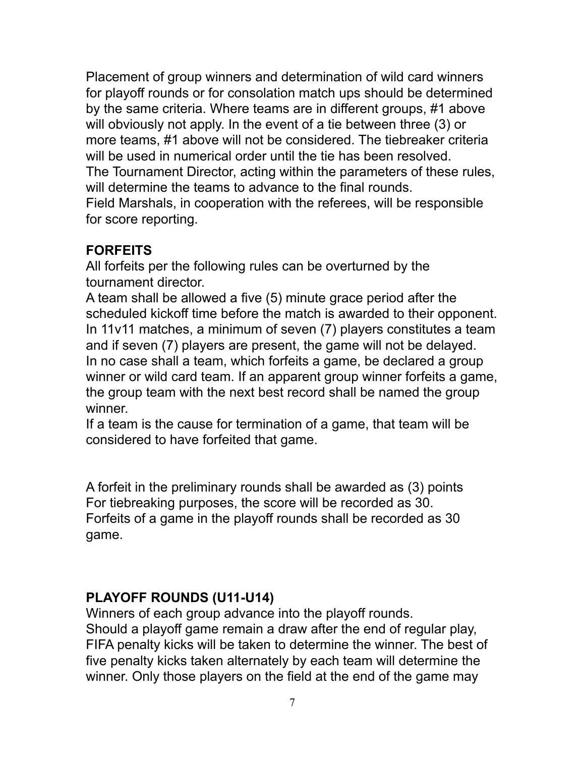Placement of group winners and determination of wild card winners for playoff rounds or for consolation match ups should be determined by the same criteria. Where teams are in different groups, #1 above will obviously not apply. In the event of a tie between three (3) or more teams, #1 above will not be considered. The tiebreaker criteria will be used in numerical order until the tie has been resolved. The Tournament Director, acting within the parameters of these rules, will determine the teams to advance to the final rounds. Field Marshals, in cooperation with the referees, will be responsible for score reporting.

### **FORFEITS**

All forfeits per the following rules can be overturned by the tournament director.

A team shall be allowed a five (5) minute grace period after the scheduled kickoff time before the match is awarded to their opponent. In 11v11 matches, a minimum of seven (7) players constitutes a team and if seven (7) players are present, the game will not be delayed. In no case shall a team, which forfeits a game, be declared a group winner or wild card team. If an apparent group winner forfeits a game, the group team with the next best record shall be named the group winner.

If a team is the cause for termination of a game, that team will be considered to have forfeited that game.

A forfeit in the preliminary rounds shall be awarded as (3) points For tiebreaking purposes, the score will be recorded as 30. Forfeits of a game in the playoff rounds shall be recorded as 30 game.

## **PLAYOFF ROUNDS (U11-U14)**

Winners of each group advance into the playoff rounds. Should a playoff game remain a draw after the end of regular play, FIFA penalty kicks will be taken to determine the winner. The best of five penalty kicks taken alternately by each team will determine the winner. Only those players on the field at the end of the game may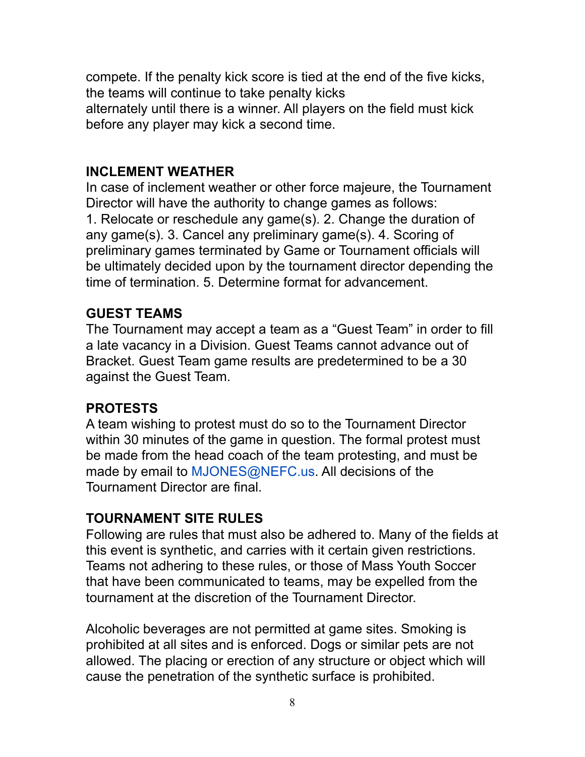compete. If the penalty kick score is tied at the end of the five kicks, the teams will continue to take penalty kicks alternately until there is a winner. All players on the field must kick before any player may kick a second time.

#### **INCLEMENT WEATHER**

In case of inclement weather or other force majeure, the Tournament Director will have the authority to change games as follows: 1. Relocate or reschedule any game(s). 2. Change the duration of any game(s). 3. Cancel any preliminary game(s). 4. Scoring of preliminary games terminated by Game or Tournament officials will be ultimately decided upon by the tournament director depending the time of termination. 5. Determine format for advancement.

### **GUEST TEAMS**

The Tournament may accept a team as a "Guest Team" in order to fill a late vacancy in a Division. Guest Teams cannot advance out of Bracket. Guest Team game results are predetermined to be a 30 against the Guest Team.

### **PROTESTS**

A team wishing to protest must do so to the Tournament Director within 30 minutes of the game in question. The formal protest must be made from the head coach of the team protesting, and must be made by email to MJONES@NEFC.us. All decisions of the Tournament Director are final.

### **TOURNAMENT SITE RULES**

Following are rules that must also be adhered to. Many of the fields at this event is synthetic, and carries with it certain given restrictions. Teams not adhering to these rules, or those of Mass Youth Soccer that have been communicated to teams, may be expelled from the tournament at the discretion of the Tournament Director.

Alcoholic beverages are not permitted at game sites. Smoking is prohibited at all sites and is enforced. Dogs or similar pets are not allowed. The placing or erection of any structure or object which will cause the penetration of the synthetic surface is prohibited.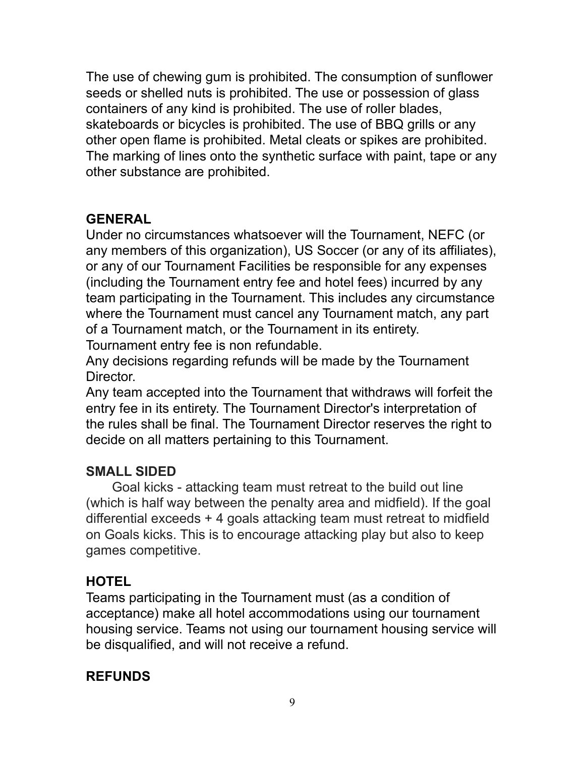The use of chewing gum is prohibited. The consumption of sunflower seeds or shelled nuts is prohibited. The use or possession of glass containers of any kind is prohibited. The use of roller blades, skateboards or bicycles is prohibited. The use of BBQ grills or any other open flame is prohibited. Metal cleats or spikes are prohibited. The marking of lines onto the synthetic surface with paint, tape or any other substance are prohibited.

### **GENERAL**

Under no circumstances whatsoever will the Tournament, NEFC (or any members of this organization), US Soccer (or any of its affiliates), or any of our Tournament Facilities be responsible for any expenses (including the Tournament entry fee and hotel fees) incurred by any team participating in the Tournament. This includes any circumstance where the Tournament must cancel any Tournament match, any part of a Tournament match, or the Tournament in its entirety. Tournament entry fee is non refundable.

Any decisions regarding refunds will be made by the Tournament Director.

Any team accepted into the Tournament that withdraws will forfeit the entry fee in its entirety. The Tournament Director's interpretation of the rules shall be final. The Tournament Director reserves the right to decide on all matters pertaining to this Tournament.

## **SMALL SIDED**

Goal kicks - attacking team must retreat to the build out line (which is half way between the penalty area and midfield). If the goal differential exceeds + 4 goals attacking team must retreat to midfield on Goals kicks. This is to encourage attacking play but also to keep games competitive.

### **HOTEL**

Teams participating in the Tournament must (as a condition of acceptance) make all hotel accommodations using our tournament housing service. Teams not using our tournament housing service will be disqualified, and will not receive a refund.

### **REFUNDS**